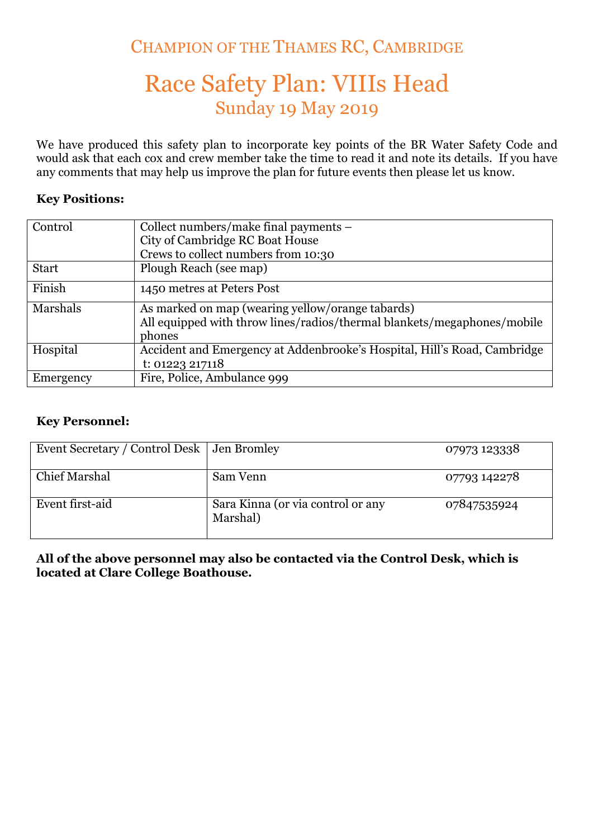## CHAMPION OF THE THAMES RC, CAMBRIDGE

# Race Safety Plan: VIIIs Head Sunday 19 May 2019

We have produced this safety plan to incorporate key points of the BR Water Safety Code and would ask that each cox and crew member take the time to read it and note its details. If you have any comments that may help us improve the plan for future events then please let us know.

#### **Key Positions:**

| Control      | Collect numbers/make final payments –<br>City of Cambridge RC Boat House |  |
|--------------|--------------------------------------------------------------------------|--|
|              | Crews to collect numbers from 10:30                                      |  |
| <b>Start</b> | Plough Reach (see map)                                                   |  |
| Finish       | 1450 metres at Peters Post                                               |  |
| Marshals     | As marked on map (wearing yellow/orange tabards)                         |  |
|              | All equipped with throw lines/radios/thermal blankets/megaphones/mobile  |  |
|              | phones                                                                   |  |
| Hospital     | Accident and Emergency at Addenbrooke's Hospital, Hill's Road, Cambridge |  |
|              | t: 01223 217118                                                          |  |
| Emergency    | Fire, Police, Ambulance 999                                              |  |

#### **Key Personnel:**

| Event Secretary / Control Desk   Jen Bromley |                                               | 07973 123338 |
|----------------------------------------------|-----------------------------------------------|--------------|
| <b>Chief Marshal</b>                         | Sam Venn                                      | 07793 142278 |
| Event first-aid                              | Sara Kinna (or via control or any<br>Marshal) | 07847535924  |

### **All of the above personnel may also be contacted via the Control Desk, which is located at Clare College Boathouse.**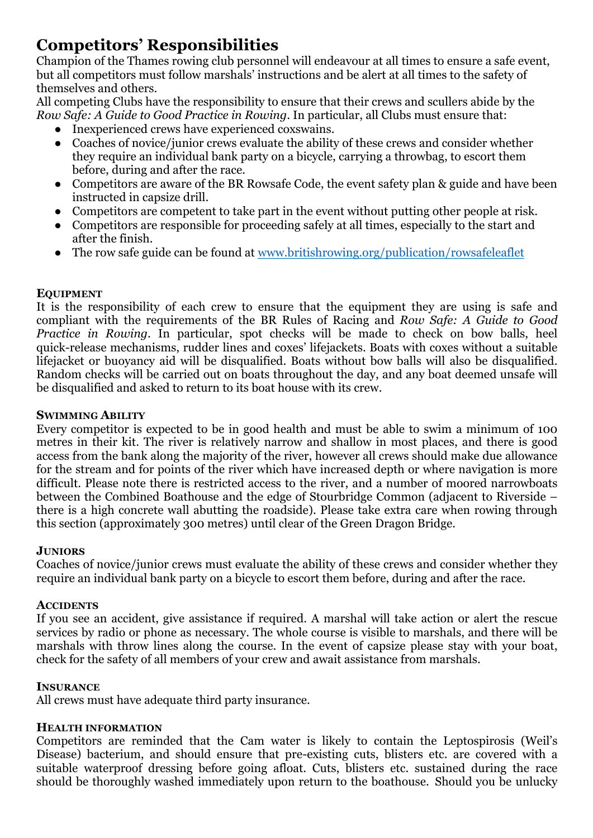## **Competitors' Responsibilities**

Champion of the Thames rowing club personnel will endeavour at all times to ensure a safe event, but all competitors must follow marshals' instructions and be alert at all times to the safety of themselves and others.

All competing Clubs have the responsibility to ensure that their crews and scullers abide by the *Row Safe: A Guide to Good Practice in Rowing*. In particular, all Clubs must ensure that:

- Inexperienced crews have experienced coxswains.
- Coaches of novice/junior crews evaluate the ability of these crews and consider whether they require an individual bank party on a bicycle, carrying a throwbag, to escort them before, during and after the race.
- Competitors are aware of the BR Rowsafe Code, the event safety plan & guide and have been instructed in capsize drill.
- Competitors are competent to take part in the event without putting other people at risk.
- Competitors are responsible for proceeding safely at all times, especially to the start and after the finish.
- The row safe guide can be found at www.britishrowing.org/publication/rowsafeleaflet

## **EQUIPMENT**

It is the responsibility of each crew to ensure that the equipment they are using is safe and compliant with the requirements of the BR Rules of Racing and *Row Safe: A Guide to Good Practice in Rowing*. In particular, spot checks will be made to check on bow balls, heel quick-release mechanisms, rudder lines and coxes' lifejackets. Boats with coxes without a suitable lifejacket or buoyancy aid will be disqualified. Boats without bow balls will also be disqualified. Random checks will be carried out on boats throughout the day, and any boat deemed unsafe will be disqualified and asked to return to its boat house with its crew.

### **SWIMMING ABILITY**

Every competitor is expected to be in good health and must be able to swim a minimum of 100 metres in their kit. The river is relatively narrow and shallow in most places, and there is good access from the bank along the majority of the river, however all crews should make due allowance for the stream and for points of the river which have increased depth or where navigation is more difficult. Please note there is restricted access to the river, and a number of moored narrowboats between the Combined Boathouse and the edge of Stourbridge Common (adjacent to Riverside – there is a high concrete wall abutting the roadside). Please take extra care when rowing through this section (approximately 300 metres) until clear of the Green Dragon Bridge.

## **JUNIORS**

Coaches of novice/junior crews must evaluate the ability of these crews and consider whether they require an individual bank party on a bicycle to escort them before, during and after the race.

#### **ACCIDENTS**

If you see an accident, give assistance if required. A marshal will take action or alert the rescue services by radio or phone as necessary. The whole course is visible to marshals, and there will be marshals with throw lines along the course. In the event of capsize please stay with your boat, check for the safety of all members of your crew and await assistance from marshals.

#### **INSURANCE**

All crews must have adequate third party insurance.

#### **HEALTH INFORMATION**

Competitors are reminded that the Cam water is likely to contain the Leptospirosis (Weil's Disease) bacterium, and should ensure that pre-existing cuts, blisters etc. are covered with a suitable waterproof dressing before going afloat. Cuts, blisters etc. sustained during the race should be thoroughly washed immediately upon return to the boathouse. Should you be unlucky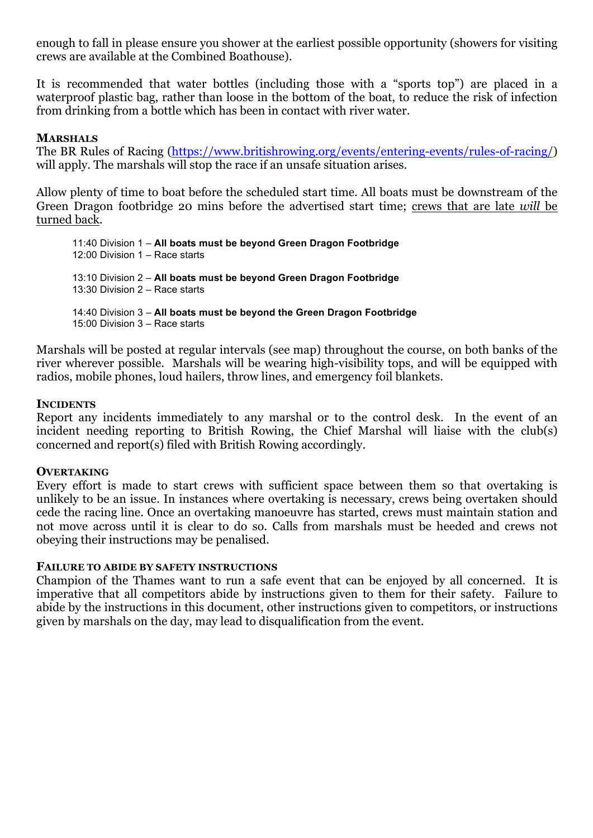enough to fall in please ensure you shower at the earliest possible opportunity (showers for visiting crews are available at the Combined Boathouse).

It is recommended that water bottles (including those with a "sports top") are placed in a waterproof plastic bag, rather than loose in the bottom of the boat, to reduce the risk of infection from drinking from a bottle which has been in contact with river water.

#### **MARSHALS**

The BR Rules of Racing (https://www.britishrowing.org/events/entering-events/rules-of-racing/) will apply. The marshals will stop the race if an unsafe situation arises.

Allow plenty of time to boat before the scheduled start time. All boats must be downstream of the Green Dragon footbridge 20 mins before the advertised start time; crews that are late *will* be turned back.

11:40 Division 1 – **All boats must be beyond Green Dragon Footbridge** 12:00 Division 1 – Race starts 13:10 Division 2 – **All boats must be beyond Green Dragon Footbridge** 13:30 Division 2 – Race starts 14:40 Division 3 – **All boats must be beyond the Green Dragon Footbridge** 15:00 Division 3 – Race starts

Marshals will be posted at regular intervals (see map) throughout the course, on both banks of the river wherever possible. Marshals will be wearing high-visibility tops, and will be equipped with radios, mobile phones, loud hailers, throw lines, and emergency foil blankets.

#### **INCIDENTS**

Report any incidents immediately to any marshal or to the control desk. In the event of an incident needing reporting to British Rowing, the Chief Marshal will liaise with the club(s) concerned and report(s) filed with British Rowing accordingly.

#### **OVERTAKING**

Every effort is made to start crews with sufficient space between them so that overtaking is unlikely to be an issue. In instances where overtaking is necessary, crews being overtaken should cede the racing line. Once an overtaking manoeuvre has started, crews must maintain station and not move across until it is clear to do so. Calls from marshals must be heeded and crews not obeying their instructions may be penalised.

#### **FAILURE TO ABIDE BY SAFETY INSTRUCTIONS**

Champion of the Thames want to run a safe event that can be enjoyed by all concerned. It is imperative that all competitors abide by instructions given to them for their safety. Failure to abide by the instructions in this document, other instructions given to competitors, or instructions given by marshals on the day, may lead to disqualification from the event.